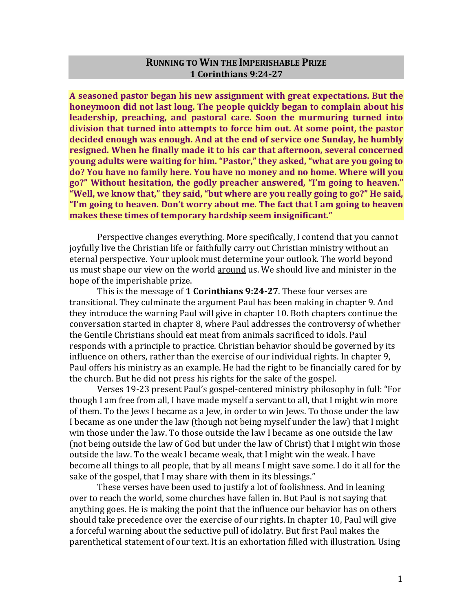# **RUNNING TO WIN THE IMPERISHABLE PRIZE 1 Corinthians 9:24-27**

A seasoned pastor began his new assignment with great expectations. But the **honeymoon did not last long. The people quickly began to complain about his leadership, preaching, and pastoral care.** Soon the murmuring turned into division that turned into attempts to force him out. At some point, the pastor decided enough was enough. And at the end of service one Sunday, he humbly **resigned.** When he finally made it to his car that afternoon, several concerned **young adults were waiting for him. "Pastor," they asked, "what are you going to** do? You have no family here. You have no money and no home. Where will you go?" Without hesitation, the godly preacher answered, "I'm going to heaven." "Well, we know that," they said, "but where are you really going to go?" He said, "I'm going to heaven. Don't worry about me. The fact that I am going to heaven makes these times of temporary hardship seem insignificant."

Perspective changes everything. More specifically, I contend that you cannot joyfully live the Christian life or faithfully carry out Christian ministry without an eternal perspective. Your uplook must determine your outlook. The world beyond us must shape our view on the world around us. We should live and minister in the hope of the imperishable prize.

This is the message of 1 **Corinthians 9:24-27**. These four verses are transitional. They culminate the argument Paul has been making in chapter 9. And they introduce the warning Paul will give in chapter 10. Both chapters continue the conversation started in chapter 8, where Paul addresses the controversy of whether the Gentile Christians should eat meat from animals sacrificed to idols. Paul responds with a principle to practice. Christian behavior should be governed by its influence on others, rather than the exercise of our individual rights. In chapter 9, Paul offers his ministry as an example. He had the right to be financially cared for by the church. But he did not press his rights for the sake of the gospel.

Verses 19-23 present Paul's gospel-centered ministry philosophy in full: "For though I am free from all, I have made myself a servant to all, that I might win more of them. To the Jews I became as a Jew, in order to win Jews. To those under the law I became as one under the law (though not being myself under the law) that I might win those under the law. To those outside the law I became as one outside the law (not being outside the law of God but under the law of Christ) that I might win those outside the law. To the weak I became weak, that I might win the weak. I have become all things to all people, that by all means I might save some. I do it all for the sake of the gospel, that I may share with them in its blessings."

These verses have been used to justify a lot of foolishness. And in leaning over to reach the world, some churches have fallen in. But Paul is not saying that anything goes. He is making the point that the influence our behavior has on others should take precedence over the exercise of our rights. In chapter 10, Paul will give a forceful warning about the seductive pull of idolatry. But first Paul makes the parenthetical statement of our text. It is an exhortation filled with illustration. Using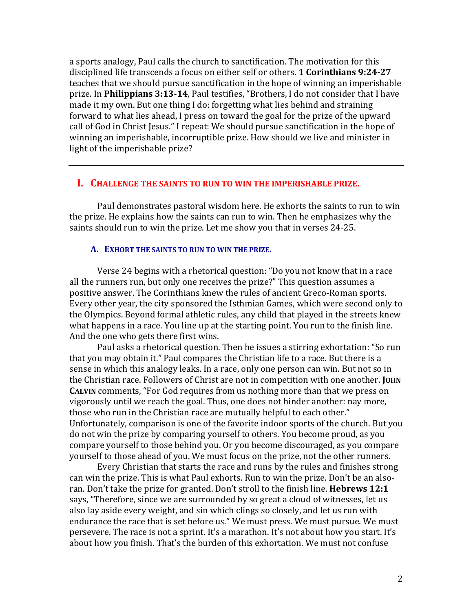a sports analogy, Paul calls the church to sanctification. The motivation for this disciplined life transcends a focus on either self or others. **1 Corinthians 9:24-27** teaches that we should pursue sanctification in the hope of winning an imperishable prize. In Philippians 3:13-14, Paul testifies, "Brothers, I do not consider that I have made it my own. But one thing I do: forgetting what lies behind and straining forward to what lies ahead, I press on toward the goal for the prize of the upward call of God in Christ Jesus." I repeat: We should pursue sanctification in the hope of winning an imperishable, incorruptible prize. How should we live and minister in light of the imperishable prize?

# **I.** CHALLENGE THE SAINTS TO RUN TO WIN THE IMPERISHABLE PRIZE.

Paul demonstrates pastoral wisdom here. He exhorts the saints to run to win the prize. He explains how the saints can run to win. Then he emphasizes why the saints should run to win the prize. Let me show you that in verses 24-25.

#### A. EXHORT THE SAINTS TO RUN TO WIN THE PRIZE.

Verse 24 begins with a rhetorical question: "Do you not know that in a race all the runners run, but only one receives the prize?" This question assumes a positive answer. The Corinthians knew the rules of ancient Greco-Roman sports. Every other year, the city sponsored the Isthmian Games, which were second only to the Olympics. Beyond formal athletic rules, any child that played in the streets knew what happens in a race. You line up at the starting point. You run to the finish line. And the one who gets there first wins.

Paul asks a rhetorical question. Then he issues a stirring exhortation: "So run that you may obtain it." Paul compares the Christian life to a race. But there is a sense in which this analogy leaks. In a race, only one person can win. But not so in the Christian race. Followers of Christ are not in competition with one another. JOHN **CALVIN** comments, "For God requires from us nothing more than that we press on vigorously until we reach the goal. Thus, one does not hinder another: nay more, those who run in the Christian race are mutually helpful to each other." Unfortunately, comparison is one of the favorite indoor sports of the church. But you do not win the prize by comparing yourself to others. You become proud, as you compare yourself to those behind you. Or you become discouraged, as you compare yourself to those ahead of you. We must focus on the prize, not the other runners.

Every Christian that starts the race and runs by the rules and finishes strong can win the prize. This is what Paul exhorts. Run to win the prize. Don't be an alsoran. Don't take the prize for granted. Don't stroll to the finish line. **Hebrews 12:1** says, "Therefore, since we are surrounded by so great a cloud of witnesses, let us also lay aside every weight, and sin which clings so closely, and let us run with endurance the race that is set before us." We must press. We must pursue. We must persevere. The race is not a sprint. It's a marathon. It's not about how you start. It's about how you finish. That's the burden of this exhortation. We must not confuse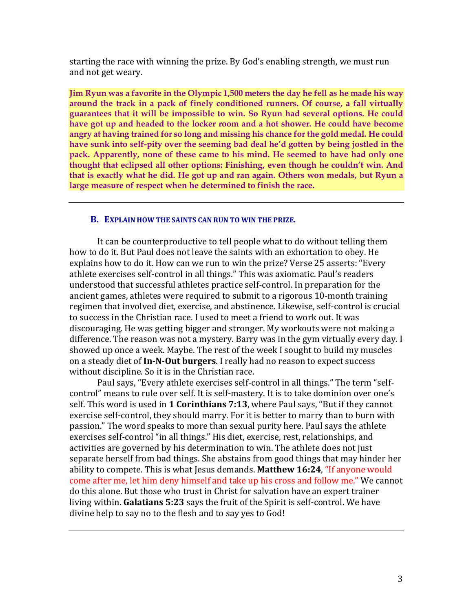starting the race with winning the prize. By God's enabling strength, we must run and not get weary.

**Jim Ryun was a favorite in the Olympic 1,500 meters the day he fell as he made his way around the track in a pack of finely conditioned runners. Of course, a fall virtually guarantees that it will be impossible to win. So Ryun had several options. He could have got up and headed to the locker room and a hot shower. He could have become angry at having trained for so long and missing his chance for the gold medal. He could have sunk into self-pity over the seeming bad deal he'd gotten by being jostled in the pack. Apparently, none of these came to his mind. He seemed to have had only one thought that eclipsed all other options: Finishing, even though he couldn't win. And that is exactly what he did. He got up and ran again. Others won medals, but Ryun a large measure of respect when he determined to finish the race.** 

#### **B.** EXPLAIN HOW THE SAINTS CAN RUN TO WIN THE PRIZE.

It can be counterproductive to tell people what to do without telling them how to do it. But Paul does not leave the saints with an exhortation to obey. He explains how to do it. How can we run to win the prize? Verse 25 asserts: "Every athlete exercises self-control in all things." This was axiomatic. Paul's readers understood that successful athletes practice self-control. In preparation for the ancient games, athletes were required to submit to a rigorous 10-month training regimen that involved diet, exercise, and abstinence. Likewise, self-control is crucial to success in the Christian race. I used to meet a friend to work out. It was discouraging. He was getting bigger and stronger. My workouts were not making a difference. The reason was not a mystery. Barry was in the gym virtually every day. I showed up once a week. Maybe. The rest of the week I sought to build my muscles on a steady diet of In-N-Out burgers. I really had no reason to expect success without discipline. So it is in the Christian race.

Paul says, "Every athlete exercises self-control in all things." The term "selfcontrol" means to rule over self. It is self-mastery. It is to take dominion over one's self. This word is used in 1 **Corinthians 7:13**, where Paul says, "But if they cannot exercise self-control, they should marry. For it is better to marry than to burn with passion." The word speaks to more than sexual purity here. Paul says the athlete exercises self-control "in all things." His diet, exercise, rest, relationships, and activities are governed by his determination to win. The athlete does not just separate herself from bad things. She abstains from good things that may hinder her ability to compete. This is what Jesus demands. Matthew 16:24, "If anyone would come after me, let him deny himself and take up his cross and follow me." We cannot do this alone. But those who trust in Christ for salvation have an expert trainer living within. **Galatians 5:23** says the fruit of the Spirit is self-control. We have divine help to say no to the flesh and to say yes to God!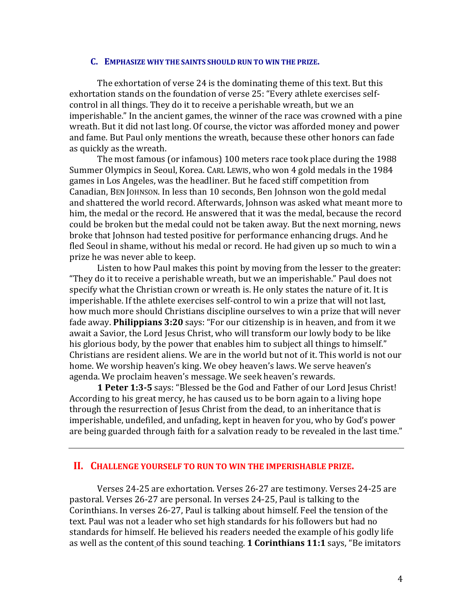#### **C. EMPHASIZE WHY THE SAINTS SHOULD RUN TO WIN THE PRIZE.**

The exhortation of verse 24 is the dominating theme of this text. But this exhortation stands on the foundation of verse 25: "Every athlete exercises selfcontrol in all things. They do it to receive a perishable wreath, but we an imperishable." In the ancient games, the winner of the race was crowned with a pine wreath. But it did not last long. Of course, the victor was afforded money and power and fame. But Paul only mentions the wreath, because these other honors can fade as quickly as the wreath.

The most famous (or infamous) 100 meters race took place during the 1988 Summer Olympics in Seoul, Korea. CARL LEWIS, who won 4 gold medals in the 1984 games in Los Angeles, was the headliner. But he faced stiff competition from Canadian, BEN JOHNSON. In less than 10 seconds, Ben Johnson won the gold medal and shattered the world record. Afterwards, Johnson was asked what meant more to him, the medal or the record. He answered that it was the medal, because the record could be broken but the medal could not be taken away. But the next morning, news broke that Johnson had tested positive for performance enhancing drugs. And he fled Seoul in shame, without his medal or record. He had given up so much to win a prize he was never able to keep.

Listen to how Paul makes this point by moving from the lesser to the greater: "They do it to receive a perishable wreath, but we an imperishable." Paul does not specify what the Christian crown or wreath is. He only states the nature of it. It is imperishable. If the athlete exercises self-control to win a prize that will not last, how much more should Christians discipline ourselves to win a prize that will never fade away. **Philippians 3:20** says: "For our citizenship is in heaven, and from it we await a Savior, the Lord Jesus Christ, who will transform our lowly body to be like his glorious body, by the power that enables him to subject all things to himself." Christians are resident aliens. We are in the world but not of it. This world is not our home. We worship heaven's king. We obey heaven's laws. We serve heaven's agenda. We proclaim heaven's message. We seek heaven's rewards.

**1 Peter 1:3-5** says: "Blessed be the God and Father of our Lord Jesus Christ! According to his great mercy, he has caused us to be born again to a living hope through the resurrection of Jesus Christ from the dead, to an inheritance that is imperishable, undefiled, and unfading, kept in heaven for you, who by God's power are being guarded through faith for a salvation ready to be revealed in the last time."

## **II. CHALLENGE YOURSELF TO RUN TO WIN THE IMPERISHABLE PRIZE.**

Verses 24-25 are exhortation. Verses 26-27 are testimony. Verses 24-25 are pastoral. Verses 26-27 are personal. In verses 24-25, Paul is talking to the Corinthians. In verses 26-27, Paul is talking about himself. Feel the tension of the text. Paul was not a leader who set high standards for his followers but had no standards for himself. He believed his readers needed the example of his godly life as well as the content of this sound teaching. **1 Corinthians 11:1** says, "Be imitators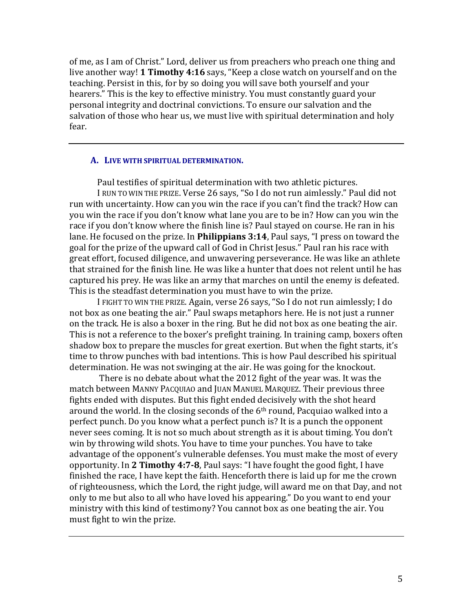of me, as I am of Christ." Lord, deliver us from preachers who preach one thing and live another way! **1 Timothy 4:16** says, "Keep a close watch on yourself and on the teaching. Persist in this, for by so doing you will save both yourself and your hearers." This is the key to effective ministry. You must constantly guard your personal integrity and doctrinal convictions. To ensure our salvation and the salvation of those who hear us, we must live with spiritual determination and holy fear.

## A. LIVE WITH SPIRITUAL DETERMINATION.

Paul testifies of spiritual determination with two athletic pictures.

I RUN TO WIN THE PRIZE. Verse 26 says, "So I do not run aimlessly." Paul did not run with uncertainty. How can you win the race if you can't find the track? How can you win the race if you don't know what lane you are to be in? How can you win the race if you don't know where the finish line is? Paul stayed on course. He ran in his lane. He focused on the prize. In **Philippians 3:14**, Paul says, "I press on toward the goal for the prize of the upward call of God in Christ Jesus." Paul ran his race with great effort, focused diligence, and unwavering perseverance. He was like an athlete that strained for the finish line. He was like a hunter that does not relent until he has captured his prey. He was like an army that marches on until the enemy is defeated. This is the steadfast determination you must have to win the prize.

I FIGHT TO WIN THE PRIZE. Again, verse 26 says, "So I do not run aimlessly; I do not box as one beating the air." Paul swaps metaphors here. He is not just a runner on the track. He is also a boxer in the ring. But he did not box as one beating the air. This is not a reference to the boxer's prefight training. In training camp, boxers often shadow box to prepare the muscles for great exertion. But when the fight starts, it's time to throw punches with bad intentions. This is how Paul described his spiritual determination. He was not swinging at the air. He was going for the knockout.

There is no debate about what the 2012 fight of the year was. It was the match between MANNY PACQUIAO and JUAN MANUEL MARQUEZ. Their previous three fights ended with disputes. But this fight ended decisively with the shot heard around the world. In the closing seconds of the  $6<sup>th</sup>$  round, Pacquiao walked into a perfect punch. Do you know what a perfect punch is? It is a punch the opponent never sees coming. It is not so much about strength as it is about timing. You don't win by throwing wild shots. You have to time your punches. You have to take advantage of the opponent's vulnerable defenses. You must make the most of every opportunity. In 2 Timothy 4:7-8, Paul says: "I have fought the good fight, I have finished the race, I have kept the faith. Henceforth there is laid up for me the crown of righteousness, which the Lord, the right judge, will award me on that Day, and not only to me but also to all who have loved his appearing." Do you want to end your ministry with this kind of testimony? You cannot box as one beating the air. You must fight to win the prize.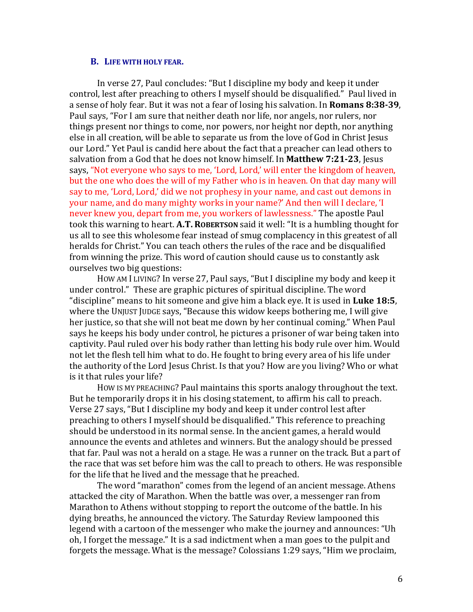# **B.** LIFE WITH HOLY FEAR.

In verse 27, Paul concludes: "But I discipline my body and keep it under control, lest after preaching to others I myself should be disqualified." Paul lived in a sense of holy fear. But it was not a fear of losing his salvation. In **Romans 8:38-39**, Paul says, "For I am sure that neither death nor life, nor angels, nor rulers, nor things present nor things to come, nor powers, nor height nor depth, nor anything else in all creation, will be able to separate us from the love of God in Christ Jesus our Lord." Yet Paul is candid here about the fact that a preacher can lead others to salvation from a God that he does not know himself. In Matthew 7:21-23, Jesus says, "Not everyone who says to me, 'Lord, Lord,' will enter the kingdom of heaven, but the one who does the will of my Father who is in heaven. On that day many will say to me, 'Lord, Lord,' did we not prophesy in your name, and cast out demons in your name, and do many mighty works in your name?' And then will I declare, 'I never knew you, depart from me, you workers of lawlessness." The apostle Paul took this warning to heart. **A.T. ROBERTSON** said it well: "It is a humbling thought for us all to see this wholesome fear instead of smug complacency in this greatest of all heralds for Christ." You can teach others the rules of the race and be disqualified from winning the prize. This word of caution should cause us to constantly ask ourselves two big questions:

HOW AM I LIVING? In verse 27, Paul says, "But I discipline my body and keep it under control." These are graphic pictures of spiritual discipline. The word "discipline" means to hit someone and give him a black eye. It is used in **Luke 18:5**, where the UNJUST JUDGE says, "Because this widow keeps bothering me, I will give her justice, so that she will not beat me down by her continual coming." When Paul says he keeps his body under control, he pictures a prisoner of war being taken into captivity. Paul ruled over his body rather than letting his body rule over him. Would not let the flesh tell him what to do. He fought to bring every area of his life under the authority of the Lord Jesus Christ. Is that you? How are you living? Who or what is it that rules your life?

How IS MY PREACHING? Paul maintains this sports analogy throughout the text. But he temporarily drops it in his closing statement, to affirm his call to preach. Verse 27 says, "But I discipline my body and keep it under control lest after preaching to others I myself should be disqualified." This reference to preaching should be understood in its normal sense. In the ancient games, a herald would announce the events and athletes and winners. But the analogy should be pressed that far. Paul was not a herald on a stage. He was a runner on the track. But a part of the race that was set before him was the call to preach to others. He was responsible for the life that he lived and the message that he preached.

The word "marathon" comes from the legend of an ancient message. Athens attacked the city of Marathon. When the battle was over, a messenger ran from Marathon to Athens without stopping to report the outcome of the battle. In his dying breaths, he announced the victory. The Saturday Review lampooned this legend with a cartoon of the messenger who make the journey and announces: "Uh oh, I forget the message." It is a sad indictment when a man goes to the pulpit and forgets the message. What is the message? Colossians 1:29 says, "Him we proclaim,